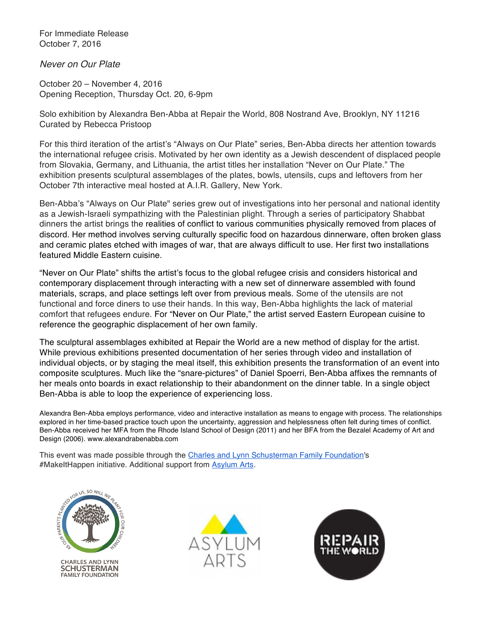For Immediate Release October 7, 2016

*Never on Our Plate*

October 20 – November 4, 2016 Opening Reception, Thursday Oct. 20, 6-9pm

Solo exhibition by Alexandra Ben-Abba at Repair the World, 808 Nostrand Ave, Brooklyn, NY 11216 Curated by Rebecca Pristoop

For this third iteration of the artist's "Always on Our Plate" series, Ben-Abba directs her attention towards the international refugee crisis. Motivated by her own identity as a Jewish descendent of displaced people from Slovakia, Germany, and Lithuania, the artist titles her installation "Never on Our Plate." The exhibition presents sculptural assemblages of the plates, bowls, utensils, cups and leftovers from her October 7th interactive meal hosted at A.I.R. Gallery, New York.

Ben-Abba's "Always on Our Plate" series grew out of investigations into her personal and national identity as a Jewish-Israeli sympathizing with the Palestinian plight. Through a series of participatory Shabbat dinners the artist brings the realities of conflict to various communities physically removed from places of discord. Her method involves serving culturally specific food on hazardous dinnerware, often broken glass and ceramic plates etched with images of war, that are always difficult to use. Her first two installations featured Middle Eastern cuisine.

"Never on Our Plate" shifts the artist's focus to the global refugee crisis and considers historical and contemporary displacement through interacting with a new set of dinnerware assembled with found materials, scraps, and place settings left over from previous meals. Some of the utensils are not functional and force diners to use their hands. In this way, Ben-Abba highlights the lack of material comfort that refugees endure. For "Never on Our Plate," the artist served Eastern European cuisine to reference the geographic displacement of her own family.

The sculptural assemblages exhibited at Repair the World are a new method of display for the artist. While previous exhibitions presented documentation of her series through video and installation of individual objects, or by staging the meal itself, this exhibition presents the transformation of an event into composite sculptures. Much like the "snare-pictures" of Daniel Spoerri, Ben-Abba affixes the remnants of her meals onto boards in exact relationship to their abandonment on the dinner table. In a single object Ben-Abba is able to loop the experience of experiencing loss.

Alexandra Ben-Abba employs performance, video and interactive installation as means to engage with process. The relationships explored in her time-based practice touch upon the uncertainty, aggression and helplessness often felt during times of conflict. Ben-Abba received her MFA from the Rhode Island School of Design (2011) and her BFA from the Bezalel Academy of Art and Design (2006). www.alexandrabenabba.com

This event was made possible through the Charles and Lynn Schusterman Family Foundation's #MakeItHappen initiative. Additional support from Asylum Arts.



**CHARLES AND LYNN SCHUSTERMAN FAMILY FOUNDATION**